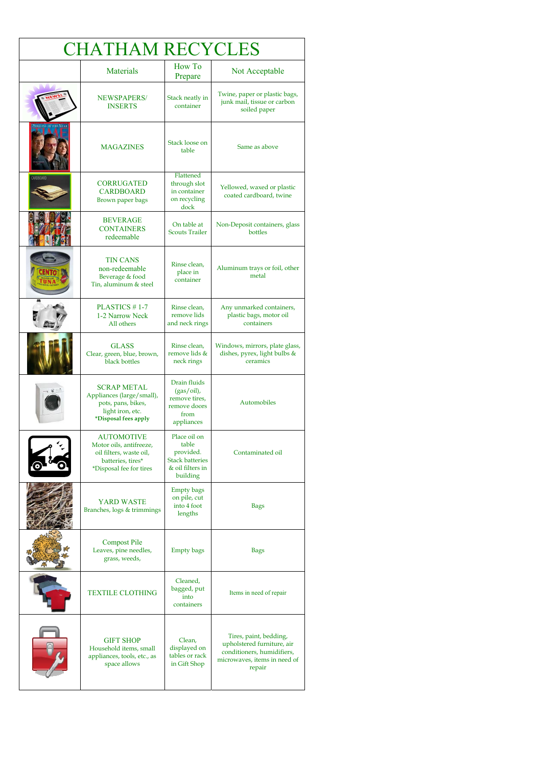| <b>CHATHAM RECYCLES</b> |                                                                                                                         |                                                                                              |                                                                                                                              |  |
|-------------------------|-------------------------------------------------------------------------------------------------------------------------|----------------------------------------------------------------------------------------------|------------------------------------------------------------------------------------------------------------------------------|--|
|                         | <b>Materials</b>                                                                                                        | How To<br>Prepare                                                                            | Not Acceptable                                                                                                               |  |
|                         | NEWSPAPERS/<br><b>INSERTS</b>                                                                                           | Stack neatly in<br>container                                                                 | Twine, paper or plastic bags,<br>junk mail, tissue or carbon<br>soiled paper                                                 |  |
|                         | <b>MAGAZINES</b>                                                                                                        | Stack loose on<br>table                                                                      | Same as above                                                                                                                |  |
| CARDBOARD               | <b>CORRUGATED</b><br><b>CARDBOARD</b><br>Brown paper bags                                                               | Flattened<br>through slot<br>in container<br>on recycling<br>dock                            | Yellowed, waxed or plastic<br>coated cardboard, twine                                                                        |  |
|                         | <b>BEVERAGE</b><br><b>CONTAINERS</b><br>redeemable                                                                      | On table at<br><b>Scouts Trailer</b>                                                         | Non-Deposit containers, glass<br>bottles                                                                                     |  |
|                         | <b>TIN CANS</b><br>non-redeemable<br>Beverage & food<br>Tin, aluminum & steel                                           | Rinse clean,<br>place in<br>container                                                        | Aluminum trays or foil, other<br>metal                                                                                       |  |
|                         | PLASTICS #1-7<br>1-2 Narrow Neck<br>All others                                                                          | Rinse clean,<br>remove lids<br>and neck rings                                                | Any unmarked containers,<br>plastic bags, motor oil<br>containers                                                            |  |
|                         | <b>GLASS</b><br>Clear, green, blue, brown,<br>black bottles                                                             | Rinse clean,<br>remove lids &<br>neck rings                                                  | Windows, mirrors, plate glass,<br>dishes, pyrex, light bulbs &<br>ceramics                                                   |  |
|                         | <b>SCRAP METAL</b><br>Appliances (large/small),<br>pots, pans, bikes,<br>light iron, etc.<br>*Disposal fees apply       | Drain fluids<br>$(gas/oil)$ ,<br>remove tires,<br>remove doors<br>from<br>appliances         | Automobiles                                                                                                                  |  |
|                         | <b>AUTOMOTIVE</b><br>Motor oils, antifreeze,<br>oil filters, waste oil,<br>batteries, tires*<br>*Disposal fee for tires | Place oil on<br>table<br>provided.<br><b>Stack batteries</b><br>& oil filters in<br>building | Contaminated oil                                                                                                             |  |
|                         | YARD WASTE<br>Branches, logs & trimmings                                                                                | <b>Empty bags</b><br>on pile, cut<br>into 4 foot<br>lengths                                  | <b>Bags</b>                                                                                                                  |  |
|                         | <b>Compost Pile</b><br>Leaves, pine needles,<br>grass, weeds,                                                           | <b>Empty bags</b>                                                                            | <b>Bags</b>                                                                                                                  |  |
|                         | <b>TEXTILE CLOTHING</b>                                                                                                 | Cleaned,<br>bagged, put<br>into<br>containers                                                | Items in need of repair                                                                                                      |  |
|                         | <b>GIFT SHOP</b><br>Household items, small<br>appliances, tools, etc., as<br>space allows                               | Clean,<br>displayed on<br>tables or rack<br>in Gift Shop                                     | Tires, paint, bedding,<br>upholstered furniture, air<br>conditioners, humidifiers,<br>microwaves, items in need of<br>repair |  |